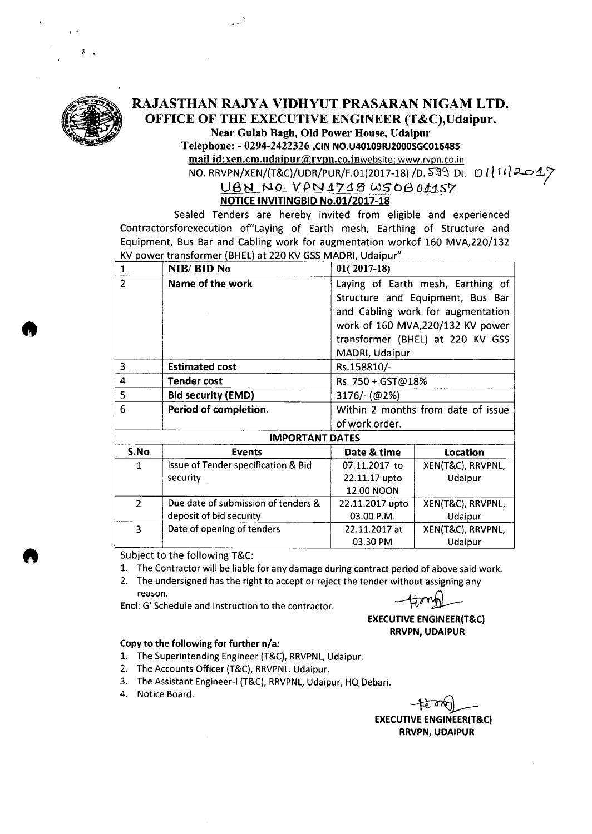

**e** 

. -

### RAJASTHAN RAJYA VIDHYUT PRASARAN NIGAM LTD. OFFICE OF THE EXECUTIVE ENGINEER (T&C),Udaipur. Near Gulab Bagh, Old Power House, Udaipur

Telephone: - 0294-2422326 ,CIN NO.U40109RJ2000SGC016485

mail id:xen.cm.udaipur@rvpn.co.inwebsite: www.rvpn.co.in  $\overline{NO. RRVPN/XEN/(T&C)/UDR/PUR/F.01(2017-18)/D. S99}$  Dt. 01112017

#### UBN NO. VPN1718 WS0B01157 NOTICE INVITINGBID No.01/2017-18

Sealed Tenders are hereby invited from eligible and experienced Contractorsforexecution of"Laying of Earth mesh, Earthing of Structure and Equipment, Bus Bar and Cabling work for augmentation workof 160 MVA,220/132 KV power transformer (BHEL) at 220 KV GSS MAORI, Udaipur"

| $\mathbf{1}$           | NIB/BID No                          | $01(2017-18)$                      |                   |  |  |  |  |  |
|------------------------|-------------------------------------|------------------------------------|-------------------|--|--|--|--|--|
| $\overline{2}$         | Name of the work                    | Laying of Earth mesh, Earthing of  |                   |  |  |  |  |  |
|                        |                                     | Structure and Equipment, Bus Bar   |                   |  |  |  |  |  |
|                        |                                     | and Cabling work for augmentation  |                   |  |  |  |  |  |
|                        |                                     | work of 160 MVA, 20/132 KV power   |                   |  |  |  |  |  |
|                        |                                     | transformer (BHEL) at 220 KV GSS   |                   |  |  |  |  |  |
|                        |                                     | MADRI, Udaipur                     |                   |  |  |  |  |  |
| 3                      | <b>Estimated cost</b>               | Rs.158810/-                        |                   |  |  |  |  |  |
| 4                      | <b>Tender cost</b>                  | Rs. 750 + GST@18%                  |                   |  |  |  |  |  |
| 5                      | <b>Bid security (EMD)</b>           | $3176/-(@2%)$                      |                   |  |  |  |  |  |
| 6                      | Period of completion.               | Within 2 months from date of issue |                   |  |  |  |  |  |
|                        |                                     | of work order.                     |                   |  |  |  |  |  |
| <b>IMPORTANT DATES</b> |                                     |                                    |                   |  |  |  |  |  |
| S.No                   | <b>Events</b>                       | Date & time                        | Location          |  |  |  |  |  |
| $\mathbf{1}$           | Issue of Tender specification & Bid | 07.11.2017 to                      | XEN(T&C), RRVPNL, |  |  |  |  |  |
|                        | security                            | 22.11.17 upto                      | Udaipur           |  |  |  |  |  |
|                        |                                     | 12.00 NOON                         |                   |  |  |  |  |  |
| $\overline{2}$         | Due date of submission of tenders & | 22.11.2017 upto                    | XEN(T&C), RRVPNL, |  |  |  |  |  |
|                        | deposit of bid security             | 03.00 P.M.                         | Udaipur           |  |  |  |  |  |
| 3                      | Date of opening of tenders          | 22.11.2017 at                      | XEN(T&C), RRVPNL, |  |  |  |  |  |
|                        |                                     | 03.30 PM                           | Udaipur           |  |  |  |  |  |

Subject to the following T&C:

- 1. The Contractor will be liable for any damage during contract period of above said work.
- 2. The undersigned has the right to accept or reject the tender without assigning any reason.

End: G' Schedule and Instruction to the contractor.

**EXECUTIVE ENGINEER(T&C)** RRVPN, UDAIPUR

#### Copy to the following for further n/a:

- 1. The Superintending Engineer (T&C), RRVPNL, Udaipur.
- 2. The Accounts Officer (T&C), RRVPNL. Udaipur.
- 3. The Assistant Engineer-I (T&C), RRVPNL, Udaipur, HQ Debari.
- 4. Notice Board.

EXECUTIVE ENGINEER(T&C) **RRVPN, UDAIPUR**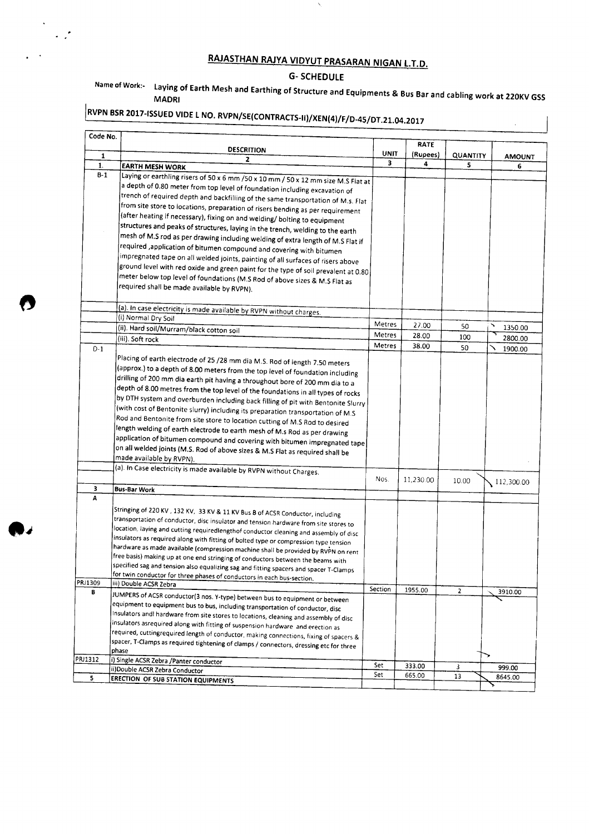## RAJASTHAN RAJYA VIDYUT PRASARAN NIGAN L.T.D.

 $\bar{\mathbf{v}}$ 

#### G- SCHEDULE

#### Name of Work:- Laying of Earth Mesh and Earthing of Structure and Equipments & Bus Bar and cabling work at 220KV GSS MAORI

 $\mathcal{L}$ 

# $\vert$ RVPN BSR 2017-ISSUED VIDE L NO. RVPN/SE(CONTRACTS-II)/XEN(4)/F/D-45/DT.21.04.2017

 $\sim 10^{11}$ 

 $\mathcal{A}$  $\ddot{\phantom{a}}$ 

| Code No. |                                                                                        |         | <b>RATE</b> |                |               |
|----------|----------------------------------------------------------------------------------------|---------|-------------|----------------|---------------|
| 1        | <b>DESCRITION</b>                                                                      | UNIT    | (Rupees)    | QUANTITY       | <b>AMOUNT</b> |
| 1.       | 2<br><b>EARTH MESH WORK</b>                                                            | 3       | 4           | 5              | 6             |
| $B-1$    |                                                                                        |         |             |                |               |
|          | Laying or earthling risers of 50 x 6 mm /50 x 10 mm / 50 x 12 mm size M.S Flat at      |         |             |                |               |
|          | a depth of 0.80 meter from top level of foundation including excavation of             |         |             |                |               |
|          | trench of required depth and backfilling of the same transportation of M.s. Flat       |         |             |                |               |
|          | from site store to locations, preparation of risers bending as per requirement         |         |             |                |               |
|          | (after heating if necessary), fixing on and welding/ bolting to equipment              |         |             |                |               |
|          | structures and peaks of structures, laying in the trench, welding to the earth         |         |             |                |               |
|          | mesh of M.S rod as per drawing including welding of extra length of M.S Flat if        |         |             |                |               |
|          | required ,application of bitumen compound and covering with bitumen                    |         |             |                |               |
|          | impregnated tape on all welded joints, painting of all surfaces of risers above        |         |             |                |               |
|          | ground level with red oxide and green paint for the type of soil prevalent at 0.80     |         |             |                |               |
|          | meter below top level of foundations (M.S Rod of above sizes & M.S Flat as             |         |             |                |               |
|          | required shall be made available by RVPN).                                             |         |             |                |               |
|          |                                                                                        |         |             |                |               |
|          | (a). In case electricity is made available by RVPN without charges.                    |         |             |                |               |
|          | (i) Normal Dry Soil                                                                    |         |             |                |               |
|          | (ii). Hard soil/Murram/black cotton soil                                               | Metres  | 27.00       | 50             | 1350.00       |
|          | (iii). Soft rock                                                                       | Metres  | 28.00       | 100            | 2800.00       |
| $D-1$    |                                                                                        | Metres  | 38.00       | 50             | 1900.00       |
|          | Placing of earth electrode of 25 /28 mm dia M.S. Rod of length 7.50 meters             |         |             |                |               |
|          | (approx.) to a depth of 8.00 meters from the top level of foundation including         |         |             |                |               |
|          | drilling of 200 mm dia earth pit having a throughout bore of 200 mm dia to a           |         |             |                |               |
|          | depth of 8.00 metres from the top level of the foundations in all types of rocks       |         |             |                |               |
|          | by DTH system and overburden including back filling of pit with Bentonite Slurry       |         |             |                |               |
|          | (with cost of Bentonite slurry) including its preparation transportation of M.S        |         |             |                |               |
|          | Rod and Bentonite from site store to location cutting of M.S Rod to desired            |         |             |                |               |
|          | length welding of earth electrode to earth mesh of M.s Rod as per drawing              |         |             |                |               |
|          | application of bitumen compound and covering with bitumen impregnated tape             |         |             |                |               |
|          | on all welded joints (M.S. Rod of above sizes & M.S Flat as required shall be          |         |             |                |               |
|          | made available by RVPN).                                                               |         |             |                |               |
|          | (a). In Case electricity is made available by RVPN without Charges.                    |         |             |                |               |
|          |                                                                                        | Nos.    | 11,230.00   | 10.00          |               |
| 3        | <b>Bus-Bar Work</b>                                                                    |         |             |                | 112,300.00    |
| А        |                                                                                        |         |             |                |               |
|          | Stringing of 220 KV, 132 KV, 33 KV & 11 KV Bus B of ACSR Conductor, including          |         |             |                |               |
|          | transportation of conductor, disc insulator and tension hardware from site stores to   |         |             |                |               |
|          | location, laying and cutting requiredlengthof conductor cleaning and assembly of disc  |         |             |                |               |
|          | insulators as required along with fitting of bolted type or compression type tension   |         |             |                |               |
|          | hardware as made available (compression machine shall be provided by RVPN on rent      |         |             |                |               |
|          | free basis) making up at one end stringing of conductors between the beams with        |         |             |                |               |
|          | specified sag and tension also equalizing sag and fitting spacers and spacer T-Clamps  |         |             |                |               |
|          | for twin conductor for three phases of conductors in each bus-section.                 |         |             |                |               |
| PRJ1309  | (iii) Double ACSR Zebra                                                                | Section | 1955.00     | $\overline{2}$ |               |
| в        | JUMPERS of ACSR conductor(3 nos. Y-type) between bus to equipment or between           |         |             |                | 3910.00       |
|          | equipment to equipment bus to bus, including transportation of conductor, disc         |         |             |                |               |
|          | Insulators andl hardware from site stores to locations, cleaning and assembly of disc  |         |             |                |               |
|          | insulators asrequired along with fitting of suspension hardware and erection as        |         |             |                |               |
|          | required, cuttingrequired length of conductor, making connections, fixing of spacers & |         |             |                |               |
|          | spacer, T-Clamps as required tightening of clamps / connectors, dressing etc for three |         |             |                |               |
|          | phase                                                                                  |         |             |                |               |
| PRJ1312  | i) Single ACSR Zebra / Panter conductor                                                | Set     | 333.00      | 3              | 999.00        |
|          |                                                                                        |         |             |                |               |
| 5        | ii)Double ACSR Zebra Conductor<br><b>ERECTION OF SUB STATION EQUIPMENTS</b>            | Set     | 665.00      | 13             | 8645.00       |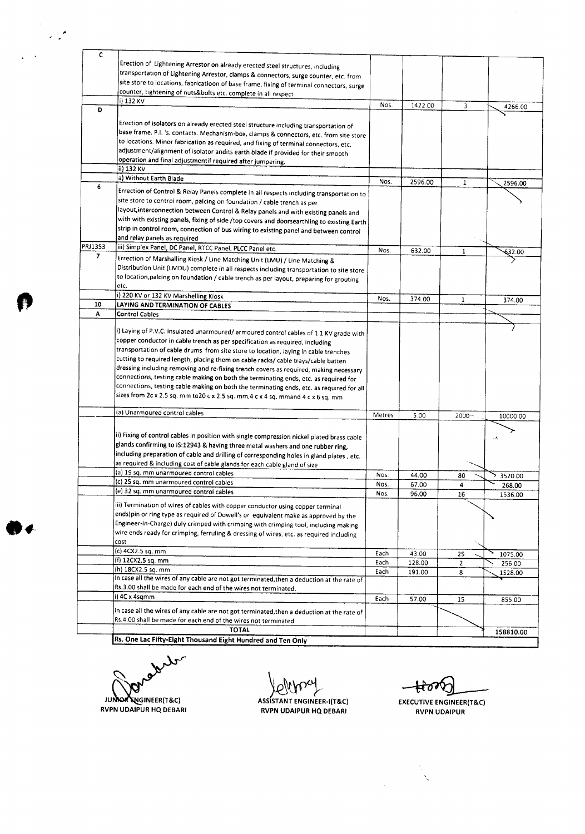| c              |                                                                                            |        |         |              |           |
|----------------|--------------------------------------------------------------------------------------------|--------|---------|--------------|-----------|
|                | Erection of Lightening Arrestor on already erected steel structures, including             |        |         |              |           |
|                | transportation of Lightening Arrestor, clamps & connectors, surge counter, etc. from       |        |         |              |           |
|                |                                                                                            |        |         |              |           |
|                | site store to locations, fabricatioon of base frame, fixing of terminal connectors, surge  |        |         |              |           |
|                | counter, tightening of nuts&bolts etc. complete in all respect                             |        |         |              |           |
|                | i) 132 KV                                                                                  | Nos.   | 1422.00 | 3            | 4266.00   |
| Ð              |                                                                                            |        |         |              |           |
|                |                                                                                            |        |         |              |           |
|                | Erection of isolators on already erected steel structure including transportation of       |        |         |              |           |
|                | base frame. P.I. 's. contacts. Mechanism-box, clamps & connectors, etc. from site store    |        |         |              |           |
|                | to locations. Minor fabrication as required, and fixing of terminal connectors, etc.       |        |         |              |           |
|                | adjustment/alignment of isolator andits earth blade if provided for their smooth           |        |         |              |           |
|                | operation and final adjustmentif required after jumpering.                                 |        |         |              |           |
|                | ii) 132 KV                                                                                 |        |         |              |           |
|                | a) Without Earth Blade                                                                     |        |         |              |           |
| 6              |                                                                                            | Nos.   | 2596.00 | $\mathbf{1}$ | 2596.00   |
|                | Errection of Control & Relay Panels complete in all respects including transportation to   |        |         |              |           |
|                | site store to control room, palcing on foundation / cable trench as per                    |        |         |              |           |
|                | layout, interconnection between Control & Relay panels and with existing panels and        |        |         |              |           |
|                | with with existing panels, fixing of side /top covers and doorsearthling to existing Earth |        |         |              |           |
|                | strip in control room, connection of bus wiring to existing panel and between control      |        |         |              |           |
|                | and relay panels as required                                                               |        |         |              |           |
|                |                                                                                            |        |         |              |           |
| PRJ1353        | iii) Simplex Panel, DC Panel, RTCC Panel, PLCC Panel etc.                                  | Nos.   | 632.00  | 1            | 632.00    |
| $\overline{ }$ | Errection of Marshalling Kiosk / Line Matching Unit (LMU) / Line Matching &                |        |         |              |           |
|                | Distribution Unit (LMDU) complete in all respects including transportation to site store   |        |         |              |           |
|                | to location, palcing on foundation / cable trench as per layout, preparing for grouting    |        |         |              |           |
|                | etc.                                                                                       |        |         |              |           |
|                |                                                                                            |        |         |              |           |
|                | i) 220 KV or 132 KV Marshelling Kiosk                                                      | Nos.   | 374.00  | $\mathbf{1}$ | 374.00    |
| 10             | LAYING AND TERMINATION OF CABLES                                                           |        |         |              |           |
| A              | <b>Control Cables</b>                                                                      |        |         |              |           |
|                |                                                                                            |        |         |              |           |
|                | i) Laying of P.V.C. insulated unarmoured/ armoured control cables of 1.1 KV grade with     |        |         |              |           |
|                | copper conductor in cable trench as per specification as required, including               |        |         |              |           |
|                | transportation of cable drums from site store to location, laying in cable trenches        |        |         |              |           |
|                | cutting to required length, placing them on cable racks/ cable trays/cable batten          |        |         |              |           |
|                |                                                                                            |        |         |              |           |
|                | dressing including removing and re-fixing trench covers as required, making necessary      |        |         |              |           |
|                | connections, testing cable making on both the terminating ends, etc. as required for       |        |         |              |           |
|                | connections, testing cable making on both the terminating ends, etc. as required for all   |        |         |              |           |
|                | sizes from 2c x 2.5 sq. mm to20 c x 2.5 sq. mm, 4 c x 4 sq. mmand 4 c x 6 sq. mm           |        |         |              |           |
|                |                                                                                            |        |         |              |           |
|                | (a) Unarmoured control cables                                                              | Metres | 5.00    | 2000-        | 10000.00  |
|                |                                                                                            |        |         |              |           |
|                |                                                                                            |        |         |              |           |
|                | ii) Fixing of control cables in position with single compression nickel plated brass cable |        |         |              | ٠٨        |
|                | glands confirming to IS:12943 & having three metal washers and one rubber ring,            |        |         |              |           |
|                | including preparation of cable and drilling of corresponding holes in gland plates, etc.   |        |         |              |           |
|                | as required & including cost of cable glands for each cable gland of size                  |        |         |              |           |
|                | (a) 19 sq. mm unarmoured control cables                                                    | Nos.   | 44.00   |              |           |
|                | (c) 25 sq. mm unarmoured control cables                                                    |        |         | 80           | 3520.00   |
|                | (e) 32 sq. mm unarmoured control cables                                                    | Nos.   | 67.00   | 4            | 268.00    |
|                |                                                                                            | Nos.   | 96.00   | 16           | 1536.00   |
|                | iii) Termination of wires of cables with copper conductor using copper terminal            |        |         |              |           |
|                | ends(pin or ring type as required of Dowell's or equivalent make as approved by the        |        |         |              |           |
|                | Engineer-In-Charge) duly crimped with crimping with crimping tool, including making        |        |         |              |           |
|                |                                                                                            |        |         |              |           |
|                | wire ends ready for crimping, ferruling & dressing of wires, etc. as required including    |        |         |              |           |
|                | cost                                                                                       |        |         |              |           |
|                | (c) 4CX2.5 sq. mm                                                                          | Each   | 43.00   | 25           | 1075.00   |
|                | (f) 12CX2.5 sq. mm                                                                         | Each   | 128.00  | 2            | 256.00    |
|                | (h) 18CX2.5 sq. mm                                                                         | Each   | 191.00  | 8            | 1528.00   |
|                | In case all the wires of any cable are not got terminated, then a deduction at the rate of |        |         |              |           |
|                | Rs.3.00 shall be made for each end of the wires not terminated.                            |        |         |              |           |
|                | i) 4C x 4sqmm                                                                              |        |         |              |           |
|                |                                                                                            | Each   | 57.00   | 15           | 855.00    |
|                | in case all the wires of any cable are not got terminated, then a deduction at the rate of |        |         |              |           |
|                | Rs.4.00 shall be made for each end of the wires not terminated.                            |        |         |              |           |
|                | <b>TOTAL</b>                                                                               |        |         |              |           |
|                |                                                                                            |        |         |              | 158810.00 |

Rs. One Lac Fifty-Eight Thousand Eight Hundred and Ten Only International Account of the United States of the United States of the United States of the United States of the United States of the United States of the United

 $\overline{a}$ **JUNIOR ENGINEER(T&C)** 

**COMPANY**<br>ASSISTANT ENGINEER-I(T&C

RVPN UDAIPUR HQ DEBARI RVPN UDAIPUR HQ DEBARI

रिंग Y

EXECUTIVE ENGINEER(T&C} RVPN UDAIPUR

 $\cdot$  $\bar{\mathcal{L}}$ 

 $\bar{\lambda}$